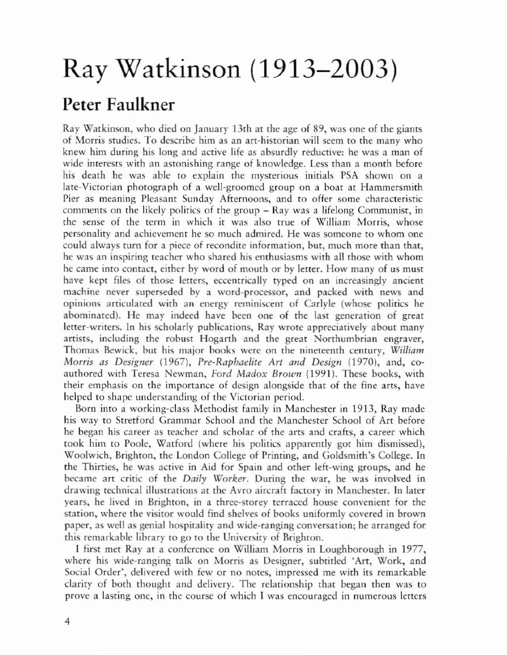## Ray Watkinson (1913-2003)

## Peter Faulkner

Ray Watkinson, who died on January 13th at the age of 89, was one of the giants of Morris studies. To describe him as an art-historian will seem to the many who knew him during his long and active life as absurdly reductive: he was a man of wide interests with an astonishing range of knowledge. Less than a month before his death he was able to explain the mysterious initials PSA shown on a late-Victorian photograph of a well-groomed group on a boat at Hammersmith Pier as meaning Pleasant Sunday Afternoons, and to offer some characteristic comments on the likely politics of the group - Ray was a lifelong Communist, in the sense of the term in which it was also true of William Morris, whose personality and achievement he so much admired. He was someone to whom one could always turn for a piece of recondite information, but, much more than that, he was an inspiring reacher who shared his enrhusiasms wirh all rhose wirh whom he came inro conract, either by word of mouth or by lerrer. How many of us must have kept files of those letters, eccentrically typed on an increasingly ancient machine never superseded by a word-processor, and packed with news and opinions articulated with an energy reminiscent of Carlyle (whose politics he abominated). He may indeed have been one of the last generation of great letter-writers. In his scholarly publications, Ray wrote appreciatively about many artists, including the robust Hogarth and the great Norrhumbrian engraver, Thomas Bewick, but his major books were on the nineteenth century, *William Morris as Designer* (1967), *Pre-Raphaelite Art and Design* (1970), and, coauthored with Teresa Newman, Ford Madox Brown (1991). These books, with their emphasis on the importance of design alongside thar of the fine arts, have helped to shape understanding of the Victorian period.

Born into a working-class Methodist family in Manchester in 1913, Ray made his way to Stretford Grammar School and the Manchester School of Art before he began his career as teacher and scholar of the arts and crafts, a career which took him to Poole, Watford (where his politics apparently got him dismissed), Woolwich, Brighton, the London College of Printing, and Goldsmith's College. In the Thirties, he was acrive in Aid for Spain and other left-wing groups, and he became art critic of the *Daily Worker.* During rhe war, he was involved in drawing technical illustrations at the Avro aircrah facrory in Manchester. In later years, he lived in Brighton, in a rhree-storey terraced house convenient for the station, where the visitor would find shelves of books uniformly covered in brown paper. as well as genial hospitality and wide-ranging conversation; he arranged for this remarkable library ro go to the University of Brighton.

I first met Ray at a conference on William Morris in Loughborough in 1977, where his wide-ranging talk on Morris as Designer, subtitled 'Art, Work, and Social Order', delivered with few or no nores, impressed me with its remarkable clarity of both thought and delivery. The relationship rhat began rhen was to prove a lasting onc, in the course of which I was encouraged in numerous lerters